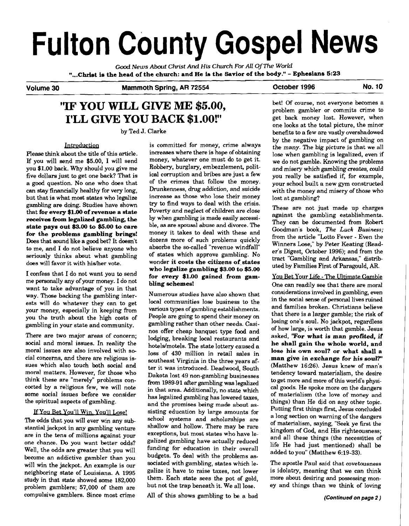# **Fulton County Gospel News**  VOIL BUY COULD BUY COULD For All Of The World<br>
"...Christ is the head of the church: and He is the Savior of the body." - Ephesians 5:23<br>
Volume 30 Mammoth Spring, AR 72554 October 1996

Good *News About* **Christ** *And* **His** *Church For All OfThe World* 

#### **Volume 30 Mammoth Spring, AR 72554 October 1996 No. 10**

# ''IF **YOU WILL GIVE ME \$5.00, I'LL GIVE YOU BACK \$1.00!"**

by Ted J. Clarke

#### Introduction

Please think about the title of this article. If you will send me \$5.00, I will send you \$1.00 back. Why should you give me five dollars just to get one back? That is a good question. No one who does that can stay financially healthy for very long, but that is what most states who legalize gambling are doing. Studies have shown that **for every \$1.00 of revenue a state**  receives from legalized gambling, the **state pays out \$3.00 to \$5.00 to care for the problems gambling brings!**  Does that sound like a good bet? It doesn't to me, and I do not believe anyone who seriously thinks about what gambling does will favor it with his/her vote.

I confess that I do not want you to send me personally any of your money. I do not want to take advantage of you in that way. Those backing the gambling interests will do whatever they can to get your money, especially in keeping from you the truth about the high costs of gambling in your state and community.

There are two major areas of concern; social and moral issues. In reality the moral issues are also involved with social concerns, and there are religious issues which also touch both social and moral matters. However, for those who think these are "merely" problems concocted by a religious few, we will note some social issues before we consider the spiritual aspects of gambling.

#### If You Bet You'll Win, You'll Lose!

The odds that you will ever win any substantial jackpot in any gambling venture are in the tens of millions against your one chance. Do you want better odds? Well, the odds are greater that you will become an addictive gambler than you will win the jackpot. An example is our neighboring state of Louisiana. A 1995 study in that state showed some 182,000 problem gamblers; 57,000 of them are compulsive gamblers. Since most crime

is committed for money, crime always increases where there is hope of obtaining money, whatever one must do to get it. Robbery, burglary, embezzlement, political corruption and bribes are just a few of the crimes that follow the money. Drunkenness, drug addiction, and suicide increase as those who lose their money try to find ways to deal with the crisis. Poverty and neglect of children are close by when gambling is made easily accessible, as are spousal abuse and divorce. The money it takes to deal with these and dozens more of such problems quickly absorbs the so-called "revenue windfall" of states which approve gambling. No wonder **it costs the citizens of.states who legalize gambling \$3.00 to \$5.00 for every \$1.00 gained from gambling schemes!** 

Numerous studies have also shown that local communities lose business to the various types of gambling establishments. People are going to spend their money on gambling rather than other needs. Casinos offer cheap banquet type food and lodging, breaking local restaurants and hotels/motels. The state lottery caused a loss of 430 million in retail sales in southeast Virginia in the three years after it was introduced. Deadwood, South Dakota lost 49 non-gambling businesses from 1989-91 after gambling was legalized in that area. Additionally, no state which has legalized gambling has lowered taxes, and the promises being made about assisting education by large amounts for school systems and scholarships are shallow and hollow. There may be rare exceptions, but most states who have legalized gambling have actually reduced funding for education in their overall budgets. To deal with the problems associated with gambling, states which legalize it have to raise taxes, not lower them. Each state sees the pot of gold, but not the trap beneath it. We all lose.

All of this shows gambling to be a bad

bet! Of course, not everyone becomes a problem gambler or commits crime to get back money lost. However, when one looks at the total picture, the minor benefits to a few are vastly overshadowed by the negative impact of gambling on the many. The big picture is that we all lose when gambling is legalized, even if we do not gamble. Knowing the problems and misery which gambling creates, could you really be satisfied if, for example, your school built a new gym constructed with the money and misery of those who lost at gambling?

These are not just made up charges against the gambling establishments. They can be documented from Robert Goodman's book, *The* **Luck** *Business;*  from the article "Lotto Fever - Even the Winners Lose," by Peter Keating (Reader's Digest, October 1996); and from the tract "Gambling and Arkansas," distributed by Families First of Paragould, **AR.** 

You Bet Your Life - The Ultimate Gamble One can readily see that there are moral considerations involved in gambling, even in the social sense of personal lives ruined and families broken. Christians believe that there is a larger gamble; the risk of losing one's soul. No jackpot, regardless of how large, is worth that gamble. Jesus asked, **"For what is man profited, if he shall gain the whole world, and lose his own soul? or what shall a .man give in exchange for his soul?'**  (Matthew 16:26). Jesus knew of man's tendency toward materialism, the desire to get more and more of this world's physical goods. He spoke more **on** the dangers of materialism (the love of money and things) than He did on any other topic. Putting first things first, Jesus concluded a long section on warning of the dangers of materialism, saying, "Seek ye first the kingdom of God, and His righteousness; and all these things (the necessities of life He had just mentioned) shall be added to you" (Matthew 6:19-33).

The apostle Paul said that covetousness is idolatry, meaning that we can think more about desiring **and** possessing money and things than we think of loving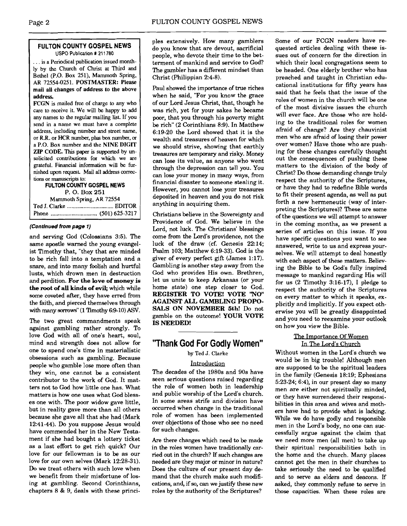#### **FULTON COUNTY GOSPEL NEWS USPO Publication** # 21 1780

... is a Periodical publication issued monthly by the Church of Christ at Third and Bethel (P.O. Box 251). Mammoth Spring. AR 72554-0251. POSTMASTER: Please mail all changes of address to the above addres.

FCGN is mailed free of charge to any who care to receive it. We will be happy to add any **names** to the regular mailing list. If you send in a name we must have a complete address. including number and street name. or R.R. or HCR number, plus **box number,** or a P.O. Box number and the NINE DIGIT ZIP CODE. This paper is supported by unsolicited contributions for which we are grateful. Financial information will be furnished upon request. Mail all address corrections or manuscripts **to:** 

**FULTON COUNTY GOSPEL NEWS**  P. **0. Box** <sup>251</sup> Mammoth Spring. AR 72554 Ted J. Clarke ............................... EDlTOR

Phone ............................... (501) 625-3217

#### **(Continued from page 1)**

and serving God (Colossians 3:5). The same apostle warned the young evangelist Timothy that, "they that are minded to be rich fall into a temptation and a snare, and into many foolish and hurtful lusts, which drown men in destruction and perdition. **For the love of money is the root of all kinds of evil;** which while some coveted after, they have erred from the faith, and pierced themselves through with many sorrows" (1 Timothy 6:9-10) ASV.

The two great commandments speak against gambling rather strongly. To love God with all of one's heart, soul, mind and strength does not allow for one to spend one's time in materialistic obsessions such as gambling. Because people who gamble lose more often than they win, one cannot be a consistent contributor to the work of God. It matters not to God how little one has. What matters is how one uses what God blesses one with. The poor widow gave little, but in reality gave more than all others because she gave all that she had (Mark 12:41-44). Do you suppose Jesus would have commended her in the New Testament if she had bought a lottery ticket as a last effort to get rich quick? Our love for our fellowman is to be as our love for our own selves (Mark 12:28-31). Do we treat others with such love when we benefit from their misfortune of losing at gambling. Second Corinthians, chapters 8 & 9, deals with these principles extensively. How many gamblers do you know that are devout, sacrificial people, who devote their time to the betterment of mankind and service to God? The gambler has a different mindset than Christ (Philippian 2:4-8).

Paul showed the importance of true riches when he said, "For you know the grace of our Lord Jesus Christ, that, though he was rich, yet for your sakes he became poor, that you through his poverty might be rich" (2 Corinthians 8:9). In Matthew 6:19-20 the Lord showed that it is the wealth and treasures of heaven for which we should strive, showing that earthly treasures are temporary and risky. Money can lose its value, as anyone who went through the depression can tell you. You can lose your money in many ways, from financial disaster to someone stealing it. However, you cannot lose your treasures deposited in heaven and you do not risk anything in acquiring them.

Christians believe in the Sovereignty and Providence of God. We believe in the Lord, not luck. The Christians' blessings come from the Lord's providence, not the luck of the draw (cf. Genesis 22:14; Psalm 103; Matthew 6:19-33). God is the giver of every perfect gift (James 1:17). Gambling is another step away from the God who provides His own. Brethren, let us unite to keep Arkansas (or your home state) one step closer to God. **REGISTER TO VOTE! VOTE 'NO" AGAINST ALL GAMBLING PROPO-SALS ON NOVEMBER 5th!** Do not gamble on the outcome! **YOUR VOTE IS NEEDED!** 

## **''Thank God For Godly Women"**

by Ted J. Clarke

#### Introduction

The decades of the 1980s and 90s have seen serious questions raised regarding the role of women both in leadership and public worship of the Lord's church. In some areas strife and division have occurred when change in the traditional role of women has been implemented over objections of those who see no need for such changes.

Are there changes which need to be made in the roles women have traditionally carried out in the church? If such changes are needed are they major or minor in nature? Does the culture of our present day demand that the church make such modifications, and, if so, can we justify these new roles by the authority of the Scriptures?

Some of our FCGN readers have requested articles dealing with these issues out of concern for the direction in which their local congregations seem to be headed. One elderly brother who has preached and taught in Christian educational institutions for fifty years has said that he feels that the issue of the roles of women in the church will be one of the most divisive issues the church will ever face. Are those who are holding to the traditional roles for women afraid of change? Are they chauvinist men who are afraid of losing their power over women? Have those who are pushing for these changes carefully thought out the consequences of pushing these matters to the division of the body of Christ? Do those demanding change truly respect the authority of the Scriptures, or have they had to redefine Bible words to fit their present agenda, as well as put forth a new hermeneutic (way of interpreting the Scriptures)? These are some of the questions we will attempt to answer in the coming months, as we present a series of articles on this issue. If you have specific questions you want to see answered, write to us and express yourselves. We will attempt to deal honestly with each aspect of these matters. Believing the Bible to be God's fully inspired message to mankind regarding His will for us (2 Timothy 3:16-17), I pledge to respect the authority of the Scriptures on every matter to which it speaks, explicitly and implicitly. If you expect otherwise you will be greatly disappointed and you need to reexamine your outlook on how you view the Bible.

#### The Importance Of Women In The Lord's Church

Without women in the Lord's church we would be in big trouble! Although men are supposed to be the spiritual leaders in the family (Genesis 18:19; Ephesians 5:23-24; 6:4), in our present day so many men are either not spiritually minded, or they have surrendered their responsibilities in this area and wives and mothers have had to provide what is lacking. While we do have godly and responsible men in the Lord's body, no one can successfully argue against the claim that we need more men (all men) to take up their spiritual responsibilities both in the home and the church. Many places cannot get the men in their churches to take seriously the need to be qualified and to serve as elders and deacons. If asked, they commonly refise to serve in those capacities. When these roles are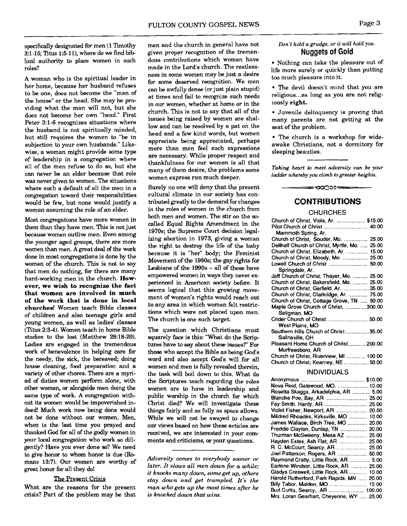specifically designated for men (1 Timothy 31-15; Titus 1:51 I), where do we find bib **lical** authority to place women in such roles?

A woman who is the spiritual leader in her home, because her husband refuses to be one, does not become the "man of the house" or the head. She may be providing what the man will not, but she does not become her own "head." First Peter 3:l-6 recognizes situations where the husband is not spiritually minded, but still requires the women to "be in subjection to your own husbands." Likewise, a woman might provide some type of leadership in a congregation where all of the men refuse to do so, but she can never be an elder because that role was never given to women. The situations where such a default of all the men in a congregation toward their responsibilities would be few, but none would justify a woman assuming the role of an elder.

Most congregations have more women in them than they have men. This is not just because women outlive men. Even among the younger aged groups, there are more women than men. A great deal of the work done in most congregations is done by the women of the church. This is not to say that men do nothing, for there are many hard-working men in the church. **However, we wish to recognize the fact that women are involved in much of the work that is done in local churches!** Women teach Bible classes of children and also teenage girls and young women, as well as ladies' classes (Titus 2:3-4). Women teach in home Bible studies to the lost (Matthew 28:18-20). Ladies are engaged in the tremendous work of benevolence in helping care for the needy, the sick, the bereaved; doing house cleaning, **food** preparation and a variety of other chores. There are a myriad of duties women perform alone, with other women, or alongside men doing the same type of work. A congregation without its women would be impoverished indeed! Much work now being done would not be done without our women. Men, when is the last time you prayed and thanked God for all of the godly women in your local congregation who work so diligently? Have you ever done **so?** We need to give honor to whom honor is due (Re mans 13:7). Our women are worthy of great honor for all they do!

#### The Present Crisis

What are the reasons for the present crisis? Part of the problem may be that men and the church in general have not given proper recognition of the tremendous contributions which women have made in the Lord's church. The restlessness in some women may be just a desire for some deserved recognition. We men can be awfully dense (or just plain stupid) at times and fail to recognize such needs in our women, whether at home or in the church. This is not to say that all of the issues being raised by women are shallow and can be resolved by a pat on the head and a few kind words, but women appreciate being appreciated, perhaps more than men feel such expressions are necessary. While proper respect and thankfulness for our women is all that many of them desire, the problems some women express run much deeper.

Surely no one will deny that the present cultural climate in our society has contributed greatly to the demand for changes in the roles of women in the church from both men and women. The stir on the **so**called Equal Rights Amendment in the 1970s; the Supreme Court decision legalizing abortion in 1973, giving a woman the right to destroy the life of the baby because it is "her" body; the Feminist Movement of the 1980s; the gay rights for Lesbians of the 1990s - all of these have empowered women in ways they never experienced in American society before. It seems logical that this growing movement of women's rights would reach out to any area in which women felt restrictions which were not placed upon men. The church is one such target.

The question which Christians must squarely face is this: "What do the Scriptures have to say about these issues?" For those who accept the Bible as being God's word and also accept God's will for all women and men is fully revealed therein, the task will boil down to this. What do the Scriptures teach regarding the roles women are to have in leadership and public worship in the church for which Christ died? We will investigate these things fairly and as fully **as** space allows. While we will not be swayed to change our views based on how these articles are received, we are interested in your comments and criticisms, or your questions.

*Adversity comes to everybody sooner or later. It slows all men down for a while; it knocks many down, someget up, others stay down and get trampled. It's the man who gets up the most times after he is knocked down that wins.* 

#### *Don't hold a grudge, or it will hold you.*  **Nuggets of Gold**

Nothing can take the pleasure out of life more surely or quickly than putting too much pleasure into it.

The devil doesn't mind that you are religious ... as long as you are not religiously **right.** 

Juvenile delinquency is proving that many parents are not getting at the seat of the problem.

The church is a workshop for wideawake Christians, not a dormitory for sleeping beauties.

*Taking heart to meet adversity can be your ladder whereby you climb togreater heights.* 

### **CONTRIBUTIONS**

==∞∞∞∞<del>∞==</del>

#### **CHURCHES**

| Church of Christ, Viola, Ar.  \$15.00         |  |
|-----------------------------------------------|--|
|                                               |  |
| Mammoth Spring, Ar.                           |  |
| Church of Christ, Souder, Mo.  25.00          |  |
| Dellhalf Church of Christ, Myrtle, Mo.  25.00 |  |
| Church of Christ, Elizabeth, Ar.  15.00       |  |
| Church of Christ, Moody, Mo.  25.00           |  |
| Lowell Church of Christ  50.00                |  |
| Springdale, Ar.                               |  |
| Jeff Church of Christ, Thayer, Mo.  25.00     |  |
| Church of Christ, Bakersfield, Mo.  25.00     |  |
| Church of Christ, Garfield, Ar. 35.00         |  |
| Church of Christ, Clarkridge, Ar.  75.00      |  |
| Church of Christ, Cottage Grove, TN  50.00    |  |
| Maple Grove Church of Christ,  300.00         |  |
| Seligman, MO                                  |  |
| Crider Church of Christ50.00                  |  |
| West Plains, MO                               |  |
| Southern Hills Church of Christ 35.00         |  |
| Salineville, OH                               |  |
| Pleasant Home Church of Christ 200.00         |  |
| Murfreesboro, AR                              |  |
| Church of Christ, Riverview, MI 100.00        |  |
| Church of Christ, Kearney, NE50.00            |  |
| INDIVIDUALS                                   |  |
|                                               |  |
|                                               |  |
| Nova Reid, Gatewood, MO.  10.00               |  |
| Rosetta Skaggs, Arkadelphia, AR  5.00         |  |
|                                               |  |
| Fay Smith, Hardy, AR  25.00                   |  |
| Violet Fisher, Newport, AR  20.00             |  |
| Mildred Rhoades, Kirksville, MO  10.00        |  |
| James Wallace, Birch Tree, MO  20.00          |  |
| Freddie Clayton, Dunlap, TN  20.00            |  |
| Thurman McSweeny, Mesa AZ  25.00              |  |

Hayden Estes. Ash Flat. AR ................... **25.00**  R. C. McCourt, Searcy, AR ..................... **25.00**  Joel Patterson, Rogers, AR .................... **50.00**  Raymond Cratty, Little Rock, AR .............. **5.00**  Earlene Windsor, Little Rock, AR ........... **25.00**  Gladys Creswell, Little Rock, AR ............ **10.00**  Harold Rutherford. Park Rapids. MN ...... **20.00**  Billy Tabor, Malden, MO ......................... **15.00 Burl** Curtis, Searcy, AR ........................ **100.00**  Mrs. Loran Gearhart, Cheyenne. WY ..... **25.00**